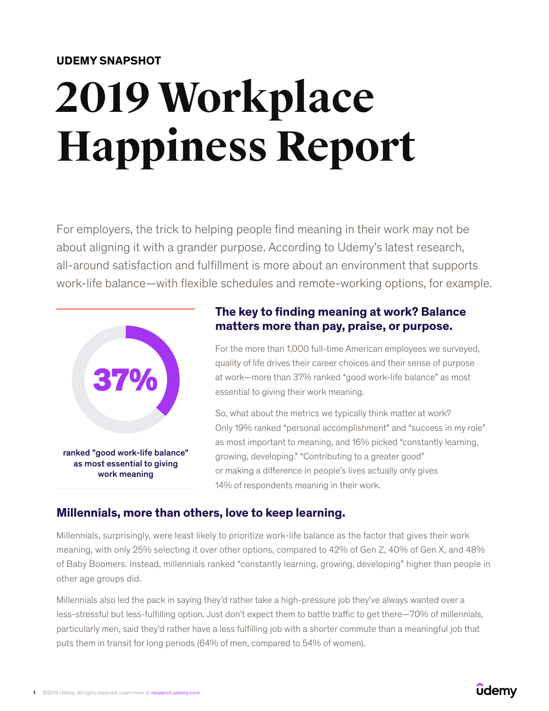#### **UDEMY SNAPSHOT**

# **2019 Workplace Happiness Report**

For employers, the trick to helping people find meaning in their work may not be about aligning it with a grander purpose. According to Udemy's latest research, all-around satisfaction and fulfillment is more about an environment that supports work-life balance—with flexible schedules and remote-working options, for example.



### **The key to finding meaning at work? Balance matters more than pay, praise, or purpose.**

For the more than 1,000 full-time American employees we surveyed, quality of life drives their career choices and their sense of purpose at work—more than 37% ranked "good work-life balance" as most essential to giving their work meaning.

So, what about the metrics we typically think matter at work? Only 19% ranked "personal accomplishment" and "success in my role" as most important to meaning, and 16% picked "constantly learning, growing, developing." "Contributing to a greater good" or making a difference in people's lives actually only gives 14% of respondents meaning in their work.

#### **Millennials, more than others, love to keep learning.**

Millennials, surprisingly, were least likely to prioritize work-life balance as the factor that gives their work meaning, with only 25% selecting it over other options, compared to 42% of Gen Z, 40% of Gen X, and 48% of Baby Boomers. Instead, millennials ranked "constantly learning, growing, developing" higher than people in other age groups did.

Millennials also led the pack in saying they'd rather take a high-pressure job they've always wanted over a less-stressful but less-fulfilling option. Just don't expect them to battle traffic to get there—70% of millennials, particularly men, said they'd rather have a less fulfilling job with a shorter commute than a meaningful job that puts them in transit for long periods (64% of men, compared to 54% of women).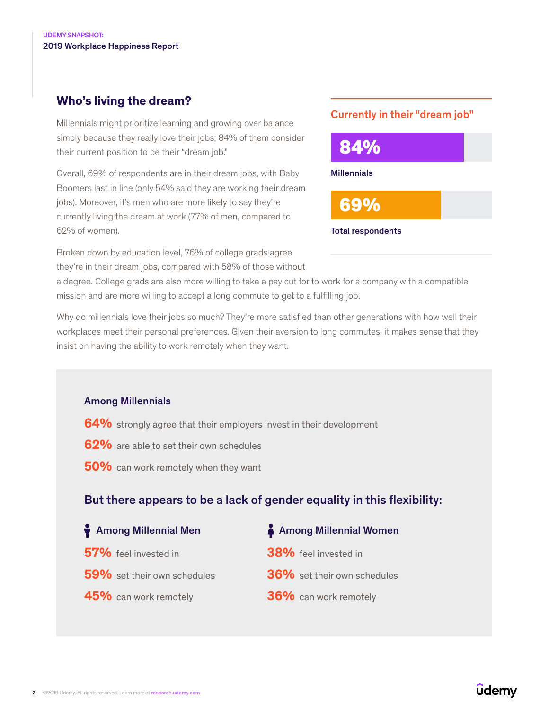## **Who's living the dream?**

Millennials might prioritize learning and growing over balance simply because they really love their jobs; 84% of them consider their current position to be their "dream job."

Overall, 69% of respondents are in their dream jobs, with Baby Boomers last in line (only 54% said they are working their dream jobs). Moreover, it's men who are more likely to say they're currently living the dream at work (77% of men, compared to 62% of women).

Broken down by education level, 76% of college grads agree they're in their dream jobs, compared with 58% of those without

#### Currently in their "dream job"



a degree. College grads are also more willing to take a pay cut for to work for a company with a compatible mission and are more willing to accept a long commute to get to a fulfilling job.

Why do millennials love their jobs so much? They're more satisfied than other generations with how well their workplaces meet their personal preferences. Given their aversion to long commutes, it makes sense that they insist on having the ability to work remotely when they want.

#### Among Millennials

- **64%** strongly agree that their employers invest in their development
- **62%** are able to set their own schedules
- **50%** can work remotely when they want

## But there appears to be a lack of gender equality in this flexibility:

| Among Millennial Men        | A Among Millennial Women           |
|-----------------------------|------------------------------------|
| 57% feel invested in        | 38% feel invested in               |
| 59% set their own schedules | <b>36%</b> set their own schedules |
| 45% can work remotely       | 36% can work remotely              |